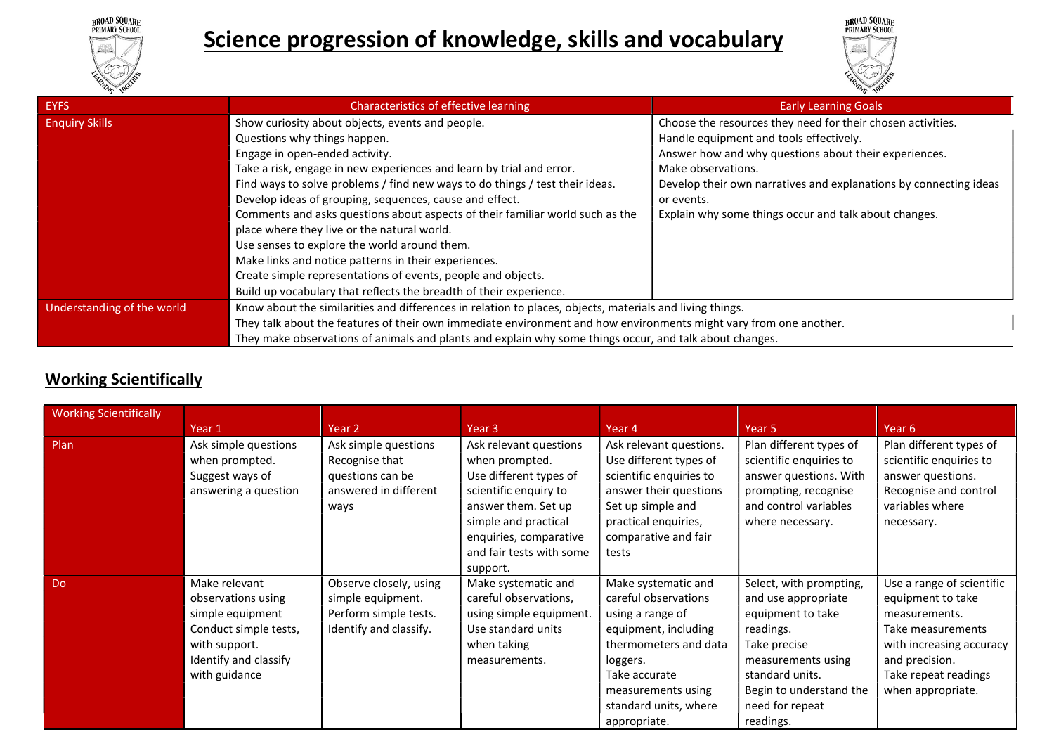

20





| <b>EYFS</b>                | Characteristics of effective learning                                                                             | <b>Early Learning Goals</b>                                       |
|----------------------------|-------------------------------------------------------------------------------------------------------------------|-------------------------------------------------------------------|
| <b>Enquiry Skills</b>      | Show curiosity about objects, events and people.                                                                  | Choose the resources they need for their chosen activities.       |
|                            | Questions why things happen.                                                                                      | Handle equipment and tools effectively.                           |
|                            | Engage in open-ended activity.                                                                                    | Answer how and why questions about their experiences.             |
|                            | Take a risk, engage in new experiences and learn by trial and error.                                              | Make observations.                                                |
|                            | Find ways to solve problems / find new ways to do things / test their ideas.                                      | Develop their own narratives and explanations by connecting ideas |
|                            | Develop ideas of grouping, sequences, cause and effect.                                                           | or events.                                                        |
|                            | Comments and asks questions about aspects of their familiar world such as the                                     | Explain why some things occur and talk about changes.             |
|                            | place where they live or the natural world.                                                                       |                                                                   |
|                            | Use senses to explore the world around them.                                                                      |                                                                   |
|                            | Make links and notice patterns in their experiences.                                                              |                                                                   |
|                            | Create simple representations of events, people and objects.                                                      |                                                                   |
|                            | Build up vocabulary that reflects the breadth of their experience.                                                |                                                                   |
| Understanding of the world | Know about the similarities and differences in relation to places, objects, materials and living things.          |                                                                   |
|                            | They talk about the features of their own immediate environment and how environments might vary from one another. |                                                                   |
|                            | They make observations of animals and plants and explain why some things occur, and talk about changes.           |                                                                   |

# Working Scientifically

| <b>Working Scientifically</b> |                                                                                                                                             |                                                                                                |                                                                                                                                                                                                              |                                                                                                                                                                                                              |                                                                                                                                                                                                      |                                                                                                                                                                                 |
|-------------------------------|---------------------------------------------------------------------------------------------------------------------------------------------|------------------------------------------------------------------------------------------------|--------------------------------------------------------------------------------------------------------------------------------------------------------------------------------------------------------------|--------------------------------------------------------------------------------------------------------------------------------------------------------------------------------------------------------------|------------------------------------------------------------------------------------------------------------------------------------------------------------------------------------------------------|---------------------------------------------------------------------------------------------------------------------------------------------------------------------------------|
|                               | Year 1                                                                                                                                      | Year <sub>2</sub>                                                                              | Year 3                                                                                                                                                                                                       | Year 4                                                                                                                                                                                                       | Year 5                                                                                                                                                                                               | Year 6                                                                                                                                                                          |
| Plan                          | Ask simple questions<br>when prompted.<br>Suggest ways of<br>answering a question                                                           | Ask simple questions<br>Recognise that<br>questions can be<br>answered in different<br>ways    | Ask relevant questions<br>when prompted.<br>Use different types of<br>scientific enquiry to<br>answer them. Set up<br>simple and practical<br>enquiries, comparative<br>and fair tests with some<br>support. | Ask relevant questions.<br>Use different types of<br>scientific enquiries to<br>answer their questions<br>Set up simple and<br>practical enquiries,<br>comparative and fair<br>tests                         | Plan different types of<br>scientific enquiries to<br>answer questions. With<br>prompting, recognise<br>and control variables<br>where necessary.                                                    | Plan different types of<br>scientific enquiries to<br>answer questions.<br>Recognise and control<br>variables where<br>necessary.                                               |
| <b>Do</b>                     | Make relevant<br>observations using<br>simple equipment<br>Conduct simple tests,<br>with support.<br>Identify and classify<br>with guidance | Observe closely, using<br>simple equipment.<br>Perform simple tests.<br>Identify and classify. | Make systematic and<br>careful observations,<br>using simple equipment.<br>Use standard units<br>when taking<br>measurements.                                                                                | Make systematic and<br>careful observations<br>using a range of<br>equipment, including<br>thermometers and data<br>loggers.<br>Take accurate<br>measurements using<br>standard units, where<br>appropriate. | Select, with prompting,<br>and use appropriate<br>equipment to take<br>readings.<br>Take precise<br>measurements using<br>standard units.<br>Begin to understand the<br>need for repeat<br>readings. | Use a range of scientific<br>equipment to take<br>measurements.<br>Take measurements<br>with increasing accuracy<br>and precision.<br>Take repeat readings<br>when appropriate. |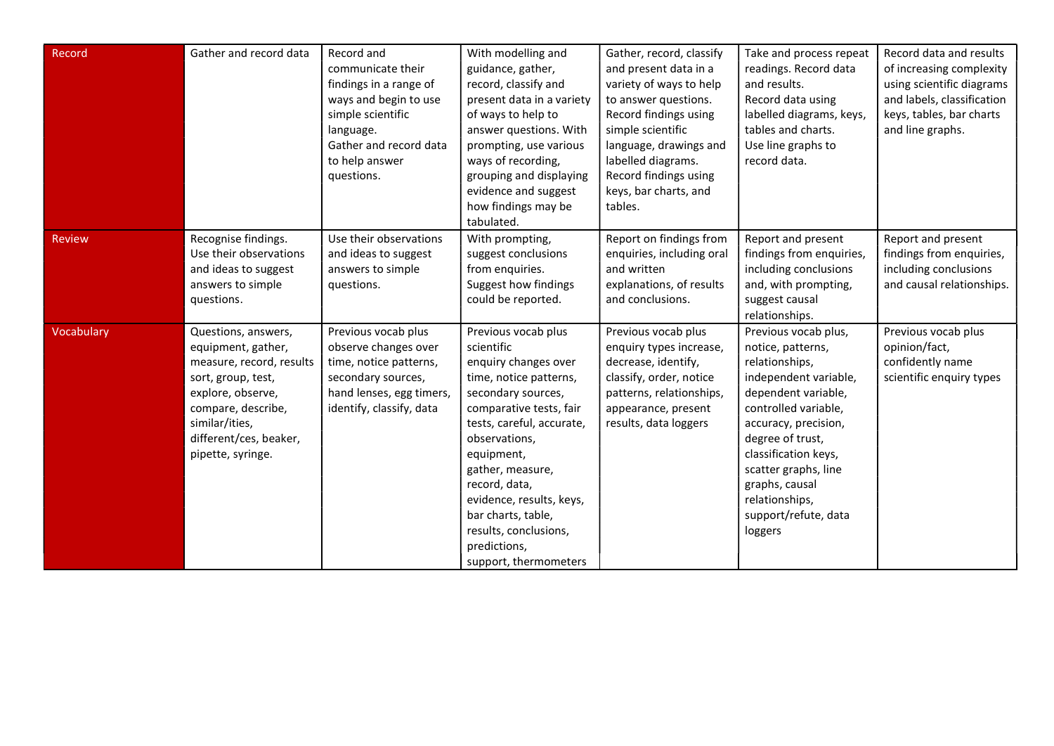| Record     | Gather and record data                                                                                                                                                                                  | Record and<br>communicate their<br>findings in a range of<br>ways and begin to use<br>simple scientific<br>language.<br>Gather and record data<br>to help answer<br>questions. | With modelling and<br>guidance, gather,<br>record, classify and<br>present data in a variety<br>of ways to help to<br>answer questions. With<br>prompting, use various<br>ways of recording,<br>grouping and displaying<br>evidence and suggest<br>how findings may be<br>tabulated.                                                                      | Gather, record, classify<br>and present data in a<br>variety of ways to help<br>to answer questions.<br>Record findings using<br>simple scientific<br>language, drawings and<br>labelled diagrams.<br>Record findings using<br>keys, bar charts, and<br>tables. | Take and process repeat<br>readings. Record data<br>and results.<br>Record data using<br>labelled diagrams, keys,<br>tables and charts.<br>Use line graphs to<br>record data.                                                                                                                          | Record data and results<br>of increasing complexity<br>using scientific diagrams<br>and labels, classification<br>keys, tables, bar charts<br>and line graphs. |
|------------|---------------------------------------------------------------------------------------------------------------------------------------------------------------------------------------------------------|--------------------------------------------------------------------------------------------------------------------------------------------------------------------------------|-----------------------------------------------------------------------------------------------------------------------------------------------------------------------------------------------------------------------------------------------------------------------------------------------------------------------------------------------------------|-----------------------------------------------------------------------------------------------------------------------------------------------------------------------------------------------------------------------------------------------------------------|--------------------------------------------------------------------------------------------------------------------------------------------------------------------------------------------------------------------------------------------------------------------------------------------------------|----------------------------------------------------------------------------------------------------------------------------------------------------------------|
| Review     | Recognise findings.<br>Use their observations<br>and ideas to suggest<br>answers to simple<br>questions.                                                                                                | Use their observations<br>and ideas to suggest<br>answers to simple<br>questions.                                                                                              | With prompting,<br>suggest conclusions<br>from enquiries.<br>Suggest how findings<br>could be reported.                                                                                                                                                                                                                                                   | Report on findings from<br>enquiries, including oral<br>and written<br>explanations, of results<br>and conclusions.                                                                                                                                             | Report and present<br>findings from enquiries,<br>including conclusions<br>and, with prompting,<br>suggest causal<br>relationships.                                                                                                                                                                    | Report and present<br>findings from enquiries,<br>including conclusions<br>and causal relationships.                                                           |
| Vocabulary | Questions, answers,<br>equipment, gather,<br>measure, record, results<br>sort, group, test,<br>explore, observe,<br>compare, describe,<br>similar/ities,<br>different/ces, beaker,<br>pipette, syringe. | Previous vocab plus<br>observe changes over<br>time, notice patterns,<br>secondary sources,<br>hand lenses, egg timers,<br>identify, classify, data                            | Previous vocab plus<br>scientific<br>enquiry changes over<br>time, notice patterns,<br>secondary sources,<br>comparative tests, fair<br>tests, careful, accurate,<br>observations,<br>equipment,<br>gather, measure,<br>record, data,<br>evidence, results, keys,<br>bar charts, table,<br>results, conclusions,<br>predictions,<br>support, thermometers | Previous vocab plus<br>enquiry types increase,<br>decrease, identify,<br>classify, order, notice<br>patterns, relationships,<br>appearance, present<br>results, data loggers                                                                                    | Previous vocab plus,<br>notice, patterns,<br>relationships,<br>independent variable,<br>dependent variable,<br>controlled variable,<br>accuracy, precision,<br>degree of trust,<br>classification keys,<br>scatter graphs, line<br>graphs, causal<br>relationships,<br>support/refute, data<br>loggers | Previous vocab plus<br>opinion/fact,<br>confidently name<br>scientific enquiry types                                                                           |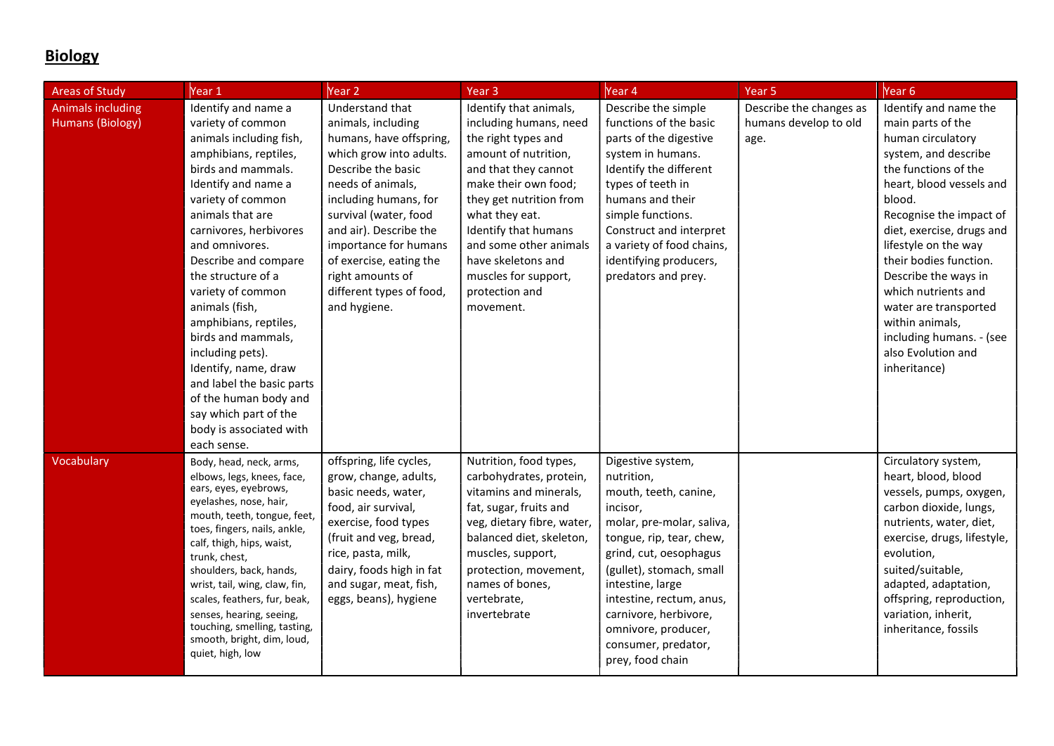# **Biology**

| <b>Areas of Study</b>                               | Year 1                                                                                                                                                                                                                                                                                                                                                                                                                                                                                                                                  | Year 2                                                                                                                                                                                                                                                                                                                                 | Year <sub>3</sub>                                                                                                                                                                                                                                                                                                           | Year <sub>4</sub>                                                                                                                                                                                                                                                                                                              | Year <sub>5</sub>                                        | Year <sub>6</sub>                                                                                                                                                                                                                                                                                                                                                                                                            |
|-----------------------------------------------------|-----------------------------------------------------------------------------------------------------------------------------------------------------------------------------------------------------------------------------------------------------------------------------------------------------------------------------------------------------------------------------------------------------------------------------------------------------------------------------------------------------------------------------------------|----------------------------------------------------------------------------------------------------------------------------------------------------------------------------------------------------------------------------------------------------------------------------------------------------------------------------------------|-----------------------------------------------------------------------------------------------------------------------------------------------------------------------------------------------------------------------------------------------------------------------------------------------------------------------------|--------------------------------------------------------------------------------------------------------------------------------------------------------------------------------------------------------------------------------------------------------------------------------------------------------------------------------|----------------------------------------------------------|------------------------------------------------------------------------------------------------------------------------------------------------------------------------------------------------------------------------------------------------------------------------------------------------------------------------------------------------------------------------------------------------------------------------------|
| <b>Animals including</b><br><b>Humans (Biology)</b> | Identify and name a<br>variety of common<br>animals including fish,<br>amphibians, reptiles,<br>birds and mammals.<br>Identify and name a<br>variety of common<br>animals that are<br>carnivores, herbivores<br>and omnivores.<br>Describe and compare<br>the structure of a<br>variety of common<br>animals (fish,<br>amphibians, reptiles,<br>birds and mammals,<br>including pets).<br>Identify, name, draw<br>and label the basic parts<br>of the human body and<br>say which part of the<br>body is associated with<br>each sense. | Understand that<br>animals, including<br>humans, have offspring,<br>which grow into adults.<br>Describe the basic<br>needs of animals,<br>including humans, for<br>survival (water, food<br>and air). Describe the<br>importance for humans<br>of exercise, eating the<br>right amounts of<br>different types of food,<br>and hygiene. | Identify that animals,<br>including humans, need<br>the right types and<br>amount of nutrition,<br>and that they cannot<br>make their own food;<br>they get nutrition from<br>what they eat.<br>Identify that humans<br>and some other animals<br>have skeletons and<br>muscles for support,<br>protection and<br>movement. | Describe the simple<br>functions of the basic<br>parts of the digestive<br>system in humans.<br>Identify the different<br>types of teeth in<br>humans and their<br>simple functions.<br>Construct and interpret<br>a variety of food chains,<br>identifying producers,<br>predators and prey.                                  | Describe the changes as<br>humans develop to old<br>age. | Identify and name the<br>main parts of the<br>human circulatory<br>system, and describe<br>the functions of the<br>heart, blood vessels and<br>blood.<br>Recognise the impact of<br>diet, exercise, drugs and<br>lifestyle on the way<br>their bodies function.<br>Describe the ways in<br>which nutrients and<br>water are transported<br>within animals,<br>including humans. - (see<br>also Evolution and<br>inheritance) |
| Vocabulary                                          | Body, head, neck, arms,<br>elbows, legs, knees, face,<br>ears, eyes, eyebrows,<br>eyelashes, nose, hair,<br>mouth, teeth, tongue, feet,<br>toes, fingers, nails, ankle,<br>calf, thigh, hips, waist,<br>trunk, chest,<br>shoulders, back, hands,<br>wrist, tail, wing, claw, fin,<br>scales, feathers, fur, beak,<br>senses, hearing, seeing,<br>touching, smelling, tasting,<br>smooth, bright, dim, loud,<br>quiet, high, low                                                                                                         | offspring, life cycles,<br>grow, change, adults,<br>basic needs, water,<br>food, air survival,<br>exercise, food types<br>(fruit and veg, bread,<br>rice, pasta, milk,<br>dairy, foods high in fat<br>and sugar, meat, fish,<br>eggs, beans), hygiene                                                                                  | Nutrition, food types,<br>carbohydrates, protein,<br>vitamins and minerals,<br>fat, sugar, fruits and<br>veg, dietary fibre, water,<br>balanced diet, skeleton,<br>muscles, support,<br>protection, movement,<br>names of bones,<br>vertebrate,<br>invertebrate                                                             | Digestive system,<br>nutrition,<br>mouth, teeth, canine,<br>incisor,<br>molar, pre-molar, saliva,<br>tongue, rip, tear, chew,<br>grind, cut, oesophagus<br>(gullet), stomach, small<br>intestine, large<br>intestine, rectum, anus,<br>carnivore, herbivore,<br>omnivore, producer,<br>consumer, predator,<br>prey, food chain |                                                          | Circulatory system,<br>heart, blood, blood<br>vessels, pumps, oxygen,<br>carbon dioxide, lungs,<br>nutrients, water, diet,<br>exercise, drugs, lifestyle,<br>evolution,<br>suited/suitable,<br>adapted, adaptation,<br>offspring, reproduction,<br>variation, inherit,<br>inheritance, fossils                                                                                                                               |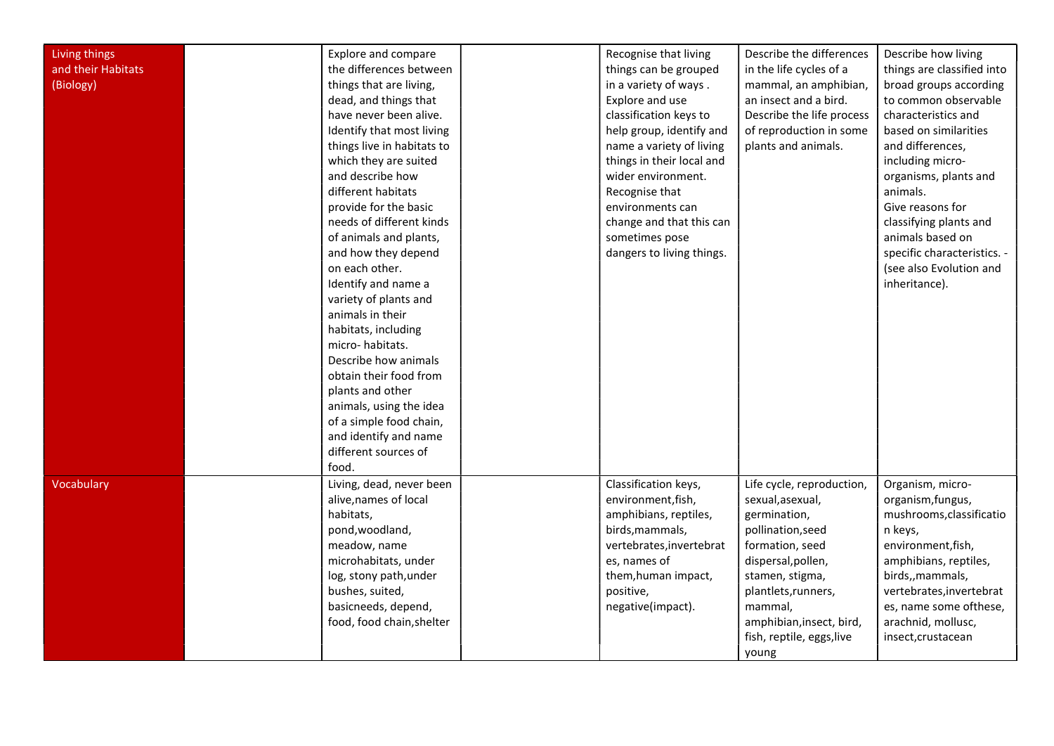|                    |                            |                           | Describe the differences  |                             |
|--------------------|----------------------------|---------------------------|---------------------------|-----------------------------|
| Living things      | Explore and compare        | Recognise that living     |                           | Describe how living         |
| and their Habitats | the differences between    | things can be grouped     | in the life cycles of a   | things are classified into  |
| (Biology)          | things that are living,    | in a variety of ways.     | mammal, an amphibian,     | broad groups according      |
|                    | dead, and things that      | Explore and use           | an insect and a bird.     | to common observable        |
|                    | have never been alive.     | classification keys to    | Describe the life process | characteristics and         |
|                    | Identify that most living  | help group, identify and  | of reproduction in some   | based on similarities       |
|                    | things live in habitats to | name a variety of living  | plants and animals.       | and differences,            |
|                    | which they are suited      | things in their local and |                           | including micro-            |
|                    | and describe how           | wider environment.        |                           | organisms, plants and       |
|                    | different habitats         | Recognise that            |                           | animals.                    |
|                    | provide for the basic      | environments can          |                           | Give reasons for            |
|                    | needs of different kinds   | change and that this can  |                           | classifying plants and      |
|                    | of animals and plants,     | sometimes pose            |                           | animals based on            |
|                    | and how they depend        | dangers to living things. |                           | specific characteristics. - |
|                    | on each other.             |                           |                           | (see also Evolution and     |
|                    | Identify and name a        |                           |                           | inheritance).               |
|                    | variety of plants and      |                           |                           |                             |
|                    | animals in their           |                           |                           |                             |
|                    | habitats, including        |                           |                           |                             |
|                    | micro-habitats.            |                           |                           |                             |
|                    | Describe how animals       |                           |                           |                             |
|                    | obtain their food from     |                           |                           |                             |
|                    | plants and other           |                           |                           |                             |
|                    | animals, using the idea    |                           |                           |                             |
|                    | of a simple food chain,    |                           |                           |                             |
|                    | and identify and name      |                           |                           |                             |
|                    | different sources of       |                           |                           |                             |
|                    | food.                      |                           |                           |                             |
| Vocabulary         | Living, dead, never been   | Classification keys,      | Life cycle, reproduction, | Organism, micro-            |
|                    | alive, names of local      | environment, fish,        | sexual, asexual,          | organism, fungus,           |
|                    | habitats,                  |                           |                           | mushrooms, classificatio    |
|                    |                            | amphibians, reptiles,     | germination,              |                             |
|                    | pond, woodland,            | birds, mammals,           | pollination, seed         | n keys,                     |
|                    | meadow, name               | vertebrates, invertebrat  | formation, seed           | environment, fish,          |
|                    | microhabitats, under       | es, names of              | dispersal, pollen,        | amphibians, reptiles,       |
|                    | log, stony path, under     | them, human impact,       | stamen, stigma,           | birds,, mammals,            |
|                    | bushes, suited,            | positive,                 | plantlets, runners,       | vertebrates, invertebrat    |
|                    | basicneeds, depend,        | negative(impact).         | mammal,                   | es, name some ofthese,      |
|                    | food, food chain, shelter  |                           | amphibian, insect, bird,  | arachnid, mollusc,          |
|                    |                            |                           | fish, reptile, eggs, live | insect, crustacean          |
|                    |                            |                           | young                     |                             |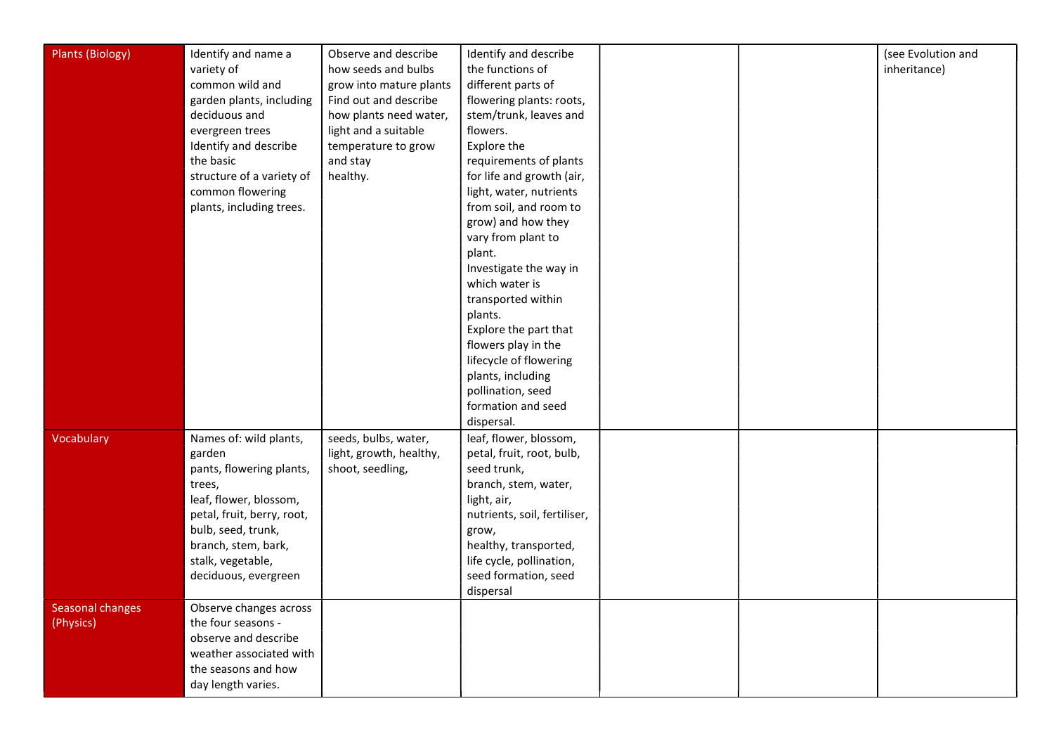| <b>Plants (Biology)</b> | Identify and name a                | Observe and describe                            | Identify and describe                               |  | (see Evolution and |
|-------------------------|------------------------------------|-------------------------------------------------|-----------------------------------------------------|--|--------------------|
|                         | variety of                         | how seeds and bulbs                             | the functions of                                    |  | inheritance)       |
|                         | common wild and                    | grow into mature plants                         | different parts of                                  |  |                    |
|                         | garden plants, including           | Find out and describe                           | flowering plants: roots,                            |  |                    |
|                         | deciduous and                      | how plants need water,                          | stem/trunk, leaves and                              |  |                    |
|                         | evergreen trees                    | light and a suitable                            | flowers.                                            |  |                    |
|                         | Identify and describe              | temperature to grow                             | Explore the                                         |  |                    |
|                         | the basic                          | and stay                                        | requirements of plants                              |  |                    |
|                         | structure of a variety of          | healthy.                                        | for life and growth (air,                           |  |                    |
|                         | common flowering                   |                                                 | light, water, nutrients                             |  |                    |
|                         | plants, including trees.           |                                                 | from soil, and room to                              |  |                    |
|                         |                                    |                                                 | grow) and how they                                  |  |                    |
|                         |                                    |                                                 | vary from plant to                                  |  |                    |
|                         |                                    |                                                 | plant.                                              |  |                    |
|                         |                                    |                                                 | Investigate the way in                              |  |                    |
|                         |                                    |                                                 | which water is                                      |  |                    |
|                         |                                    |                                                 | transported within                                  |  |                    |
|                         |                                    |                                                 | plants.                                             |  |                    |
|                         |                                    |                                                 | Explore the part that                               |  |                    |
|                         |                                    |                                                 | flowers play in the                                 |  |                    |
|                         |                                    |                                                 | lifecycle of flowering                              |  |                    |
|                         |                                    |                                                 | plants, including                                   |  |                    |
|                         |                                    |                                                 | pollination, seed                                   |  |                    |
|                         |                                    |                                                 | formation and seed                                  |  |                    |
|                         |                                    |                                                 | dispersal.                                          |  |                    |
| Vocabulary              | Names of: wild plants,             | seeds, bulbs, water,<br>light, growth, healthy, | leaf, flower, blossom,<br>petal, fruit, root, bulb, |  |                    |
|                         | garden                             |                                                 | seed trunk,                                         |  |                    |
|                         | pants, flowering plants,<br>trees, | shoot, seedling,                                | branch, stem, water,                                |  |                    |
|                         | leaf, flower, blossom,             |                                                 | light, air,                                         |  |                    |
|                         | petal, fruit, berry, root,         |                                                 | nutrients, soil, fertiliser,                        |  |                    |
|                         | bulb, seed, trunk,                 |                                                 | grow,                                               |  |                    |
|                         | branch, stem, bark,                |                                                 | healthy, transported,                               |  |                    |
|                         | stalk, vegetable,                  |                                                 | life cycle, pollination,                            |  |                    |
|                         | deciduous, evergreen               |                                                 | seed formation, seed                                |  |                    |
|                         |                                    |                                                 | dispersal                                           |  |                    |
| <b>Seasonal changes</b> | Observe changes across             |                                                 |                                                     |  |                    |
| (Physics)               | the four seasons -                 |                                                 |                                                     |  |                    |
|                         | observe and describe               |                                                 |                                                     |  |                    |
|                         | weather associated with            |                                                 |                                                     |  |                    |
|                         | the seasons and how                |                                                 |                                                     |  |                    |
|                         | day length varies.                 |                                                 |                                                     |  |                    |
|                         |                                    |                                                 |                                                     |  |                    |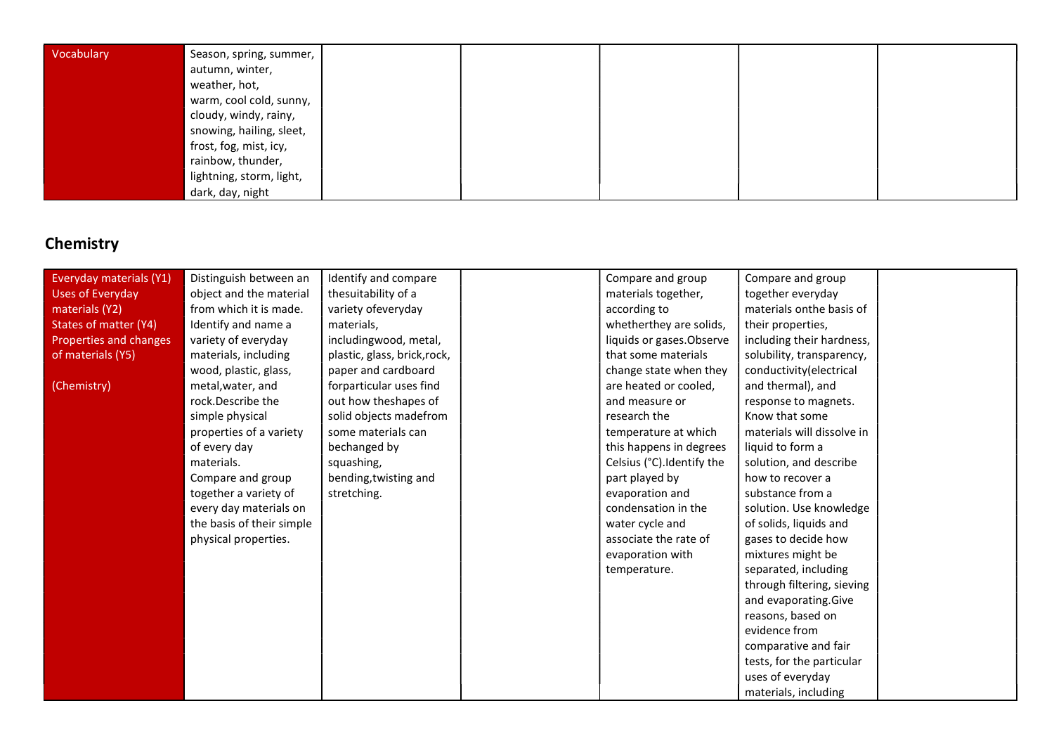| Vocabulary | Season, spring, summer,  |  |  |  |
|------------|--------------------------|--|--|--|
|            | autumn, winter,          |  |  |  |
|            | weather, hot,            |  |  |  |
|            | warm, cool cold, sunny,  |  |  |  |
|            | cloudy, windy, rainy,    |  |  |  |
|            | snowing, hailing, sleet, |  |  |  |
|            | frost, fog, mist, icy,   |  |  |  |
|            | rainbow, thunder,        |  |  |  |
|            | lightning, storm, light, |  |  |  |
|            | dark, day, night         |  |  |  |

# **Chemistry**

| Everyday materials (Y1)      | Distinguish between an    | Identify and compare         | Compare and group          | Compare and group          |  |
|------------------------------|---------------------------|------------------------------|----------------------------|----------------------------|--|
| <b>Uses of Everyday</b>      | object and the material   | thesuitability of a          | materials together,        | together everyday          |  |
| materials (Y2)               | from which it is made.    | variety ofeveryday           | according to               | materials onthe basis of   |  |
| <b>States of matter (Y4)</b> | Identify and name a       | materials,                   | whetherthey are solids,    | their properties,          |  |
| Properties and changes       | variety of everyday       | includingwood, metal,        | liquids or gases. Observe  | including their hardness,  |  |
| of materials (Y5)            | materials, including      | plastic, glass, brick, rock, | that some materials        | solubility, transparency,  |  |
|                              | wood, plastic, glass,     | paper and cardboard          | change state when they     | conductivity(electrical    |  |
| (Chemistry)                  | metal, water, and         | forparticular uses find      | are heated or cooled,      | and thermal), and          |  |
|                              | rock.Describe the         | out how theshapes of         | and measure or             | response to magnets.       |  |
|                              | simple physical           | solid objects madefrom       | research the               | Know that some             |  |
|                              | properties of a variety   | some materials can           | temperature at which       | materials will dissolve in |  |
|                              | of every day              | bechanged by                 | this happens in degrees    | liquid to form a           |  |
|                              | materials.                | squashing,                   | Celsius (°C). Identify the | solution, and describe     |  |
|                              | Compare and group         | bending, twisting and        | part played by             | how to recover a           |  |
|                              | together a variety of     | stretching.                  | evaporation and            | substance from a           |  |
|                              | every day materials on    |                              | condensation in the        | solution. Use knowledge    |  |
|                              | the basis of their simple |                              | water cycle and            | of solids, liquids and     |  |
|                              | physical properties.      |                              | associate the rate of      | gases to decide how        |  |
|                              |                           |                              | evaporation with           | mixtures might be          |  |
|                              |                           |                              | temperature.               | separated, including       |  |
|                              |                           |                              |                            | through filtering, sieving |  |
|                              |                           |                              |                            | and evaporating.Give       |  |
|                              |                           |                              |                            | reasons, based on          |  |
|                              |                           |                              |                            | evidence from              |  |
|                              |                           |                              |                            | comparative and fair       |  |
|                              |                           |                              |                            | tests, for the particular  |  |
|                              |                           |                              |                            | uses of everyday           |  |
|                              |                           |                              |                            | materials, including       |  |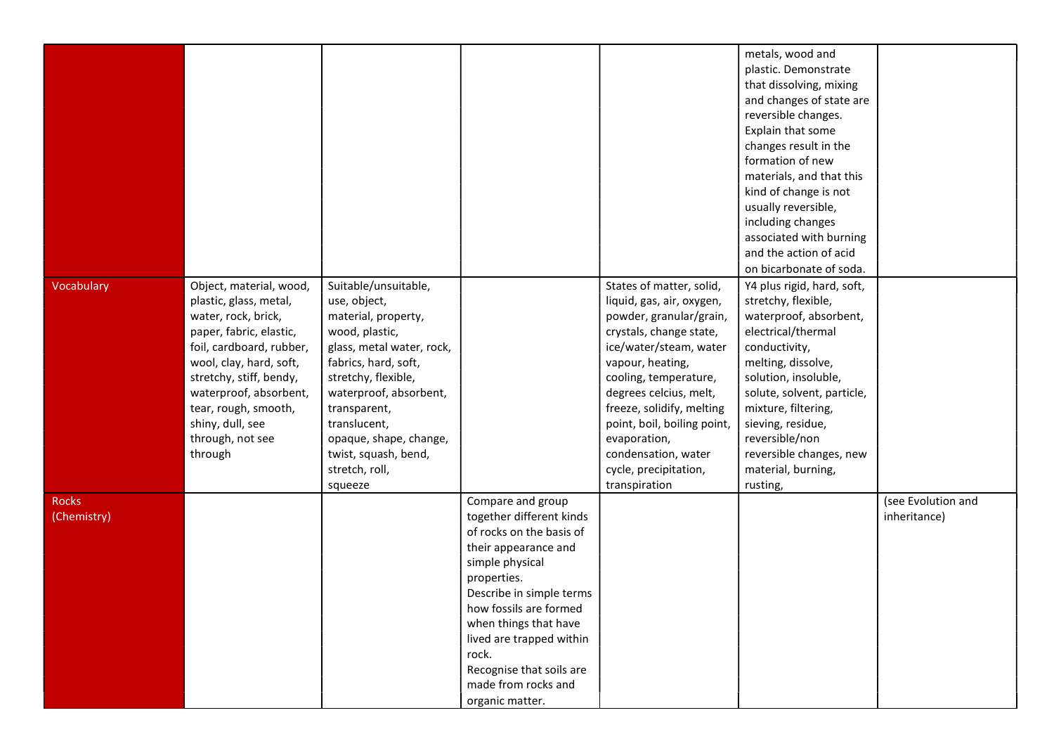|                             |                                                                                                                                                                                                                                                                                            |                                                                                                                                                                                                                                                                                                    |                                                                                                                                                                                                                                                                                                                               |                                                                                                                                                                                                                                                                                                                                                           | metals, wood and<br>plastic. Demonstrate<br>that dissolving, mixing<br>and changes of state are<br>reversible changes.<br>Explain that some<br>changes result in the<br>formation of new<br>materials, and that this<br>kind of change is not<br>usually reversible,<br>including changes<br>associated with burning<br>and the action of acid       |                                    |
|-----------------------------|--------------------------------------------------------------------------------------------------------------------------------------------------------------------------------------------------------------------------------------------------------------------------------------------|----------------------------------------------------------------------------------------------------------------------------------------------------------------------------------------------------------------------------------------------------------------------------------------------------|-------------------------------------------------------------------------------------------------------------------------------------------------------------------------------------------------------------------------------------------------------------------------------------------------------------------------------|-----------------------------------------------------------------------------------------------------------------------------------------------------------------------------------------------------------------------------------------------------------------------------------------------------------------------------------------------------------|------------------------------------------------------------------------------------------------------------------------------------------------------------------------------------------------------------------------------------------------------------------------------------------------------------------------------------------------------|------------------------------------|
| Vocabulary                  | Object, material, wood,<br>plastic, glass, metal,<br>water, rock, brick,<br>paper, fabric, elastic,<br>foil, cardboard, rubber,<br>wool, clay, hard, soft,<br>stretchy, stiff, bendy,<br>waterproof, absorbent,<br>tear, rough, smooth,<br>shiny, dull, see<br>through, not see<br>through | Suitable/unsuitable,<br>use, object,<br>material, property,<br>wood, plastic,<br>glass, metal water, rock,<br>fabrics, hard, soft,<br>stretchy, flexible,<br>waterproof, absorbent,<br>transparent,<br>translucent,<br>opaque, shape, change,<br>twist, squash, bend,<br>stretch, roll,<br>squeeze |                                                                                                                                                                                                                                                                                                                               | States of matter, solid,<br>liquid, gas, air, oxygen,<br>powder, granular/grain,<br>crystals, change state,<br>ice/water/steam, water<br>vapour, heating,<br>cooling, temperature,<br>degrees celcius, melt,<br>freeze, solidify, melting<br>point, boil, boiling point,<br>evaporation,<br>condensation, water<br>cycle, precipitation,<br>transpiration | on bicarbonate of soda.<br>Y4 plus rigid, hard, soft,<br>stretchy, flexible,<br>waterproof, absorbent,<br>electrical/thermal<br>conductivity,<br>melting, dissolve,<br>solution, insoluble,<br>solute, solvent, particle,<br>mixture, filtering,<br>sieving, residue,<br>reversible/non<br>reversible changes, new<br>material, burning,<br>rusting, |                                    |
| <b>Rocks</b><br>(Chemistry) |                                                                                                                                                                                                                                                                                            |                                                                                                                                                                                                                                                                                                    | Compare and group<br>together different kinds<br>of rocks on the basis of<br>their appearance and<br>simple physical<br>properties.<br>Describe in simple terms<br>how fossils are formed<br>when things that have<br>lived are trapped within<br>rock.<br>Recognise that soils are<br>made from rocks and<br>organic matter. |                                                                                                                                                                                                                                                                                                                                                           |                                                                                                                                                                                                                                                                                                                                                      | (see Evolution and<br>inheritance) |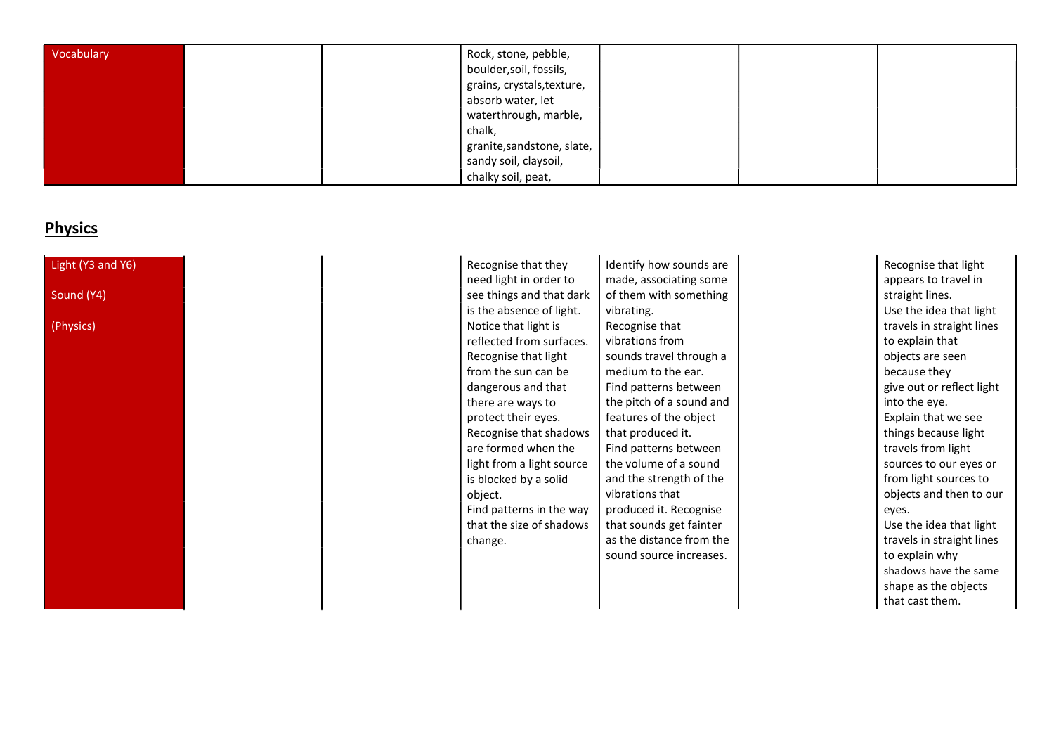| Vocabulary |  | Rock, stone, pebble,<br>boulder, soil, fossils,<br>grains, crystals, texture,<br>absorb water, let<br>waterthrough, marble,<br>chalk, |  |  |
|------------|--|---------------------------------------------------------------------------------------------------------------------------------------|--|--|
|            |  | granite, sandstone, slate,<br>sandy soil, claysoil,<br>chalky soil, peat,                                                             |  |  |

# **Physics**

| Light (Y3 and Y6) | Recognise that they       | Identify how sounds are  | Recognise that light      |
|-------------------|---------------------------|--------------------------|---------------------------|
|                   | need light in order to    | made, associating some   | appears to travel in      |
| Sound (Y4)        | see things and that dark  | of them with something   | straight lines.           |
|                   | is the absence of light.  | vibrating.               | Use the idea that light   |
| (Physics)         | Notice that light is      | Recognise that           | travels in straight lines |
|                   | reflected from surfaces.  | vibrations from          | to explain that           |
|                   | Recognise that light      | sounds travel through a  | objects are seen          |
|                   | from the sun can be       | medium to the ear.       | because they              |
|                   | dangerous and that        | Find patterns between    | give out or reflect light |
|                   | there are ways to         | the pitch of a sound and | into the eye.             |
|                   | protect their eyes.       | features of the object   | Explain that we see       |
|                   | Recognise that shadows    | that produced it.        | things because light      |
|                   | are formed when the       | Find patterns between    | travels from light        |
|                   | light from a light source | the volume of a sound    | sources to our eyes or    |
|                   | is blocked by a solid     | and the strength of the  | from light sources to     |
|                   | object.                   | vibrations that          | objects and then to our   |
|                   | Find patterns in the way  | produced it. Recognise   | eyes.                     |
|                   | that the size of shadows  | that sounds get fainter  | Use the idea that light   |
|                   | change.                   | as the distance from the | travels in straight lines |
|                   |                           | sound source increases.  | to explain why            |
|                   |                           |                          | shadows have the same     |
|                   |                           |                          | shape as the objects      |
|                   |                           |                          | that cast them.           |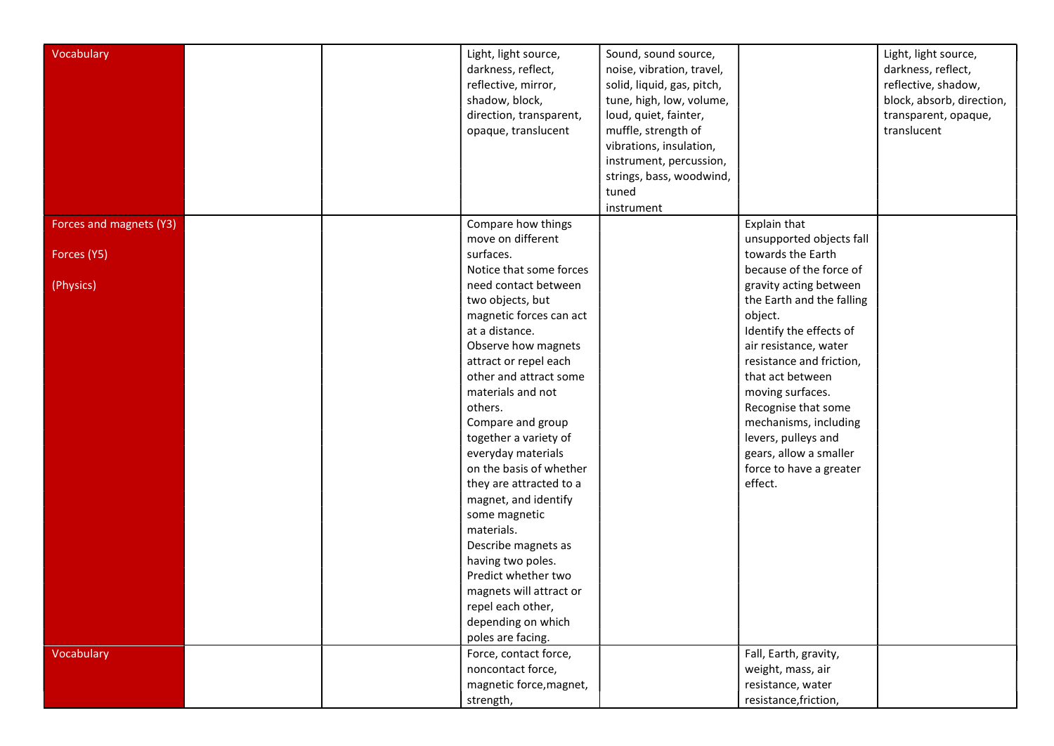| Vocabulary              |  | Light, light source,<br>darkness, reflect,<br>reflective, mirror,<br>shadow, block,<br>direction, transparent,<br>opaque, translucent                                                                                                                                                                                                                                                                                                                                                                                                                                     | Sound, sound source,<br>noise, vibration, travel,<br>solid, liquid, gas, pitch,<br>tune, high, low, volume,<br>loud, quiet, fainter,<br>muffle, strength of<br>vibrations, insulation,<br>instrument, percussion,<br>strings, bass, woodwind,<br>tuned<br>instrument |                                                                                                                                                                                                                                                                                                                                                          | Light, light source,<br>darkness, reflect,<br>reflective, shadow,<br>block, absorb, direction,<br>transparent, opaque,<br>translucent |
|-------------------------|--|---------------------------------------------------------------------------------------------------------------------------------------------------------------------------------------------------------------------------------------------------------------------------------------------------------------------------------------------------------------------------------------------------------------------------------------------------------------------------------------------------------------------------------------------------------------------------|----------------------------------------------------------------------------------------------------------------------------------------------------------------------------------------------------------------------------------------------------------------------|----------------------------------------------------------------------------------------------------------------------------------------------------------------------------------------------------------------------------------------------------------------------------------------------------------------------------------------------------------|---------------------------------------------------------------------------------------------------------------------------------------|
| Forces and magnets (Y3) |  | Compare how things<br>move on different                                                                                                                                                                                                                                                                                                                                                                                                                                                                                                                                   |                                                                                                                                                                                                                                                                      | Explain that<br>unsupported objects fall                                                                                                                                                                                                                                                                                                                 |                                                                                                                                       |
| Forces (Y5)             |  | surfaces.                                                                                                                                                                                                                                                                                                                                                                                                                                                                                                                                                                 |                                                                                                                                                                                                                                                                      | towards the Earth                                                                                                                                                                                                                                                                                                                                        |                                                                                                                                       |
| (Physics)               |  | Notice that some forces<br>need contact between<br>two objects, but<br>magnetic forces can act<br>at a distance.<br>Observe how magnets<br>attract or repel each<br>other and attract some<br>materials and not<br>others.<br>Compare and group<br>together a variety of<br>everyday materials<br>on the basis of whether<br>they are attracted to a<br>magnet, and identify<br>some magnetic<br>materials.<br>Describe magnets as<br>having two poles.<br>Predict whether two<br>magnets will attract or<br>repel each other,<br>depending on which<br>poles are facing. |                                                                                                                                                                                                                                                                      | because of the force of<br>gravity acting between<br>the Earth and the falling<br>object.<br>Identify the effects of<br>air resistance, water<br>resistance and friction,<br>that act between<br>moving surfaces.<br>Recognise that some<br>mechanisms, including<br>levers, pulleys and<br>gears, allow a smaller<br>force to have a greater<br>effect. |                                                                                                                                       |
| Vocabulary              |  | Force, contact force,<br>noncontact force,<br>magnetic force, magnet,<br>strength,                                                                                                                                                                                                                                                                                                                                                                                                                                                                                        |                                                                                                                                                                                                                                                                      | Fall, Earth, gravity,<br>weight, mass, air<br>resistance, water<br>resistance, friction,                                                                                                                                                                                                                                                                 |                                                                                                                                       |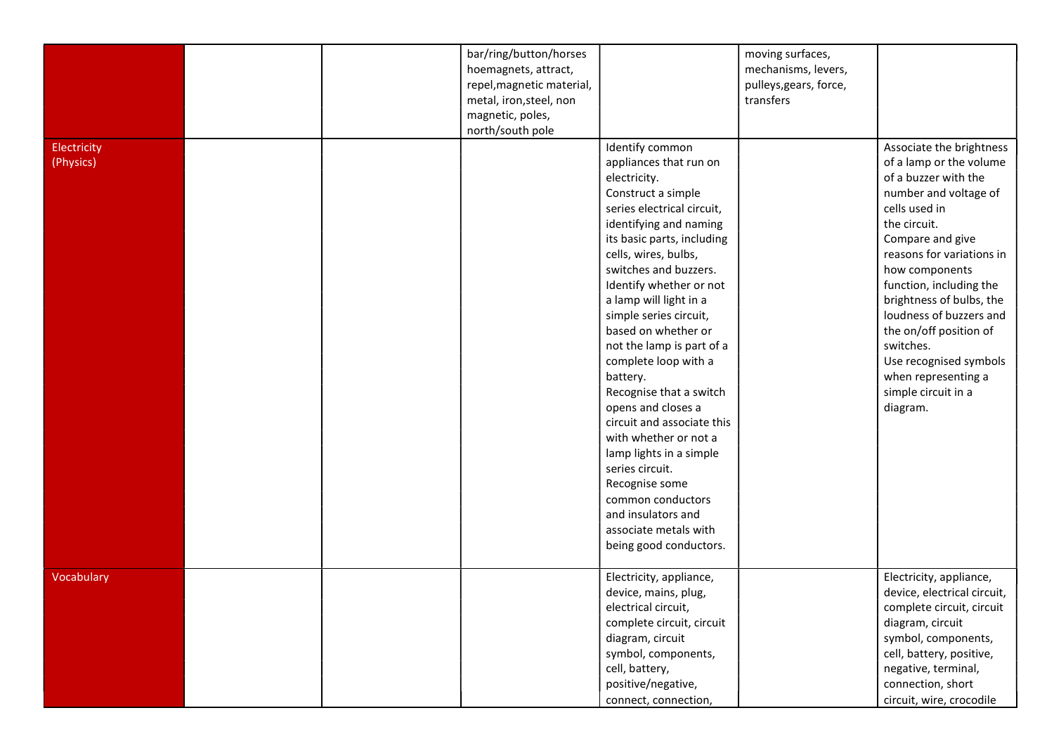| Electricity<br>(Physics) |  | bar/ring/button/horses<br>hoemagnets, attract,<br>repel, magnetic material,<br>metal, iron, steel, non<br>magnetic, poles,<br>north/south pole | Identify common<br>appliances that run on                                                                                                                                                                                                                                                                                                                                                                                                                                                                                                                                                                              | moving surfaces,<br>mechanisms, levers,<br>pulleys, gears, force,<br>transfers | Associate the brightness<br>of a lamp or the volume                                                                                                                                                                                                                                                                                                            |
|--------------------------|--|------------------------------------------------------------------------------------------------------------------------------------------------|------------------------------------------------------------------------------------------------------------------------------------------------------------------------------------------------------------------------------------------------------------------------------------------------------------------------------------------------------------------------------------------------------------------------------------------------------------------------------------------------------------------------------------------------------------------------------------------------------------------------|--------------------------------------------------------------------------------|----------------------------------------------------------------------------------------------------------------------------------------------------------------------------------------------------------------------------------------------------------------------------------------------------------------------------------------------------------------|
|                          |  |                                                                                                                                                | electricity.<br>Construct a simple<br>series electrical circuit,<br>identifying and naming<br>its basic parts, including<br>cells, wires, bulbs,<br>switches and buzzers.<br>Identify whether or not<br>a lamp will light in a<br>simple series circuit,<br>based on whether or<br>not the lamp is part of a<br>complete loop with a<br>battery.<br>Recognise that a switch<br>opens and closes a<br>circuit and associate this<br>with whether or not a<br>lamp lights in a simple<br>series circuit.<br>Recognise some<br>common conductors<br>and insulators and<br>associate metals with<br>being good conductors. |                                                                                | of a buzzer with the<br>number and voltage of<br>cells used in<br>the circuit.<br>Compare and give<br>reasons for variations in<br>how components<br>function, including the<br>brightness of bulbs, the<br>loudness of buzzers and<br>the on/off position of<br>switches.<br>Use recognised symbols<br>when representing a<br>simple circuit in a<br>diagram. |
| Vocabulary               |  |                                                                                                                                                | Electricity, appliance,<br>device, mains, plug,<br>electrical circuit,<br>complete circuit, circuit<br>diagram, circuit<br>symbol, components,<br>cell, battery,<br>positive/negative,<br>connect, connection,                                                                                                                                                                                                                                                                                                                                                                                                         |                                                                                | Electricity, appliance,<br>device, electrical circuit,<br>complete circuit, circuit<br>diagram, circuit<br>symbol, components,<br>cell, battery, positive,<br>negative, terminal,<br>connection, short<br>circuit, wire, crocodile                                                                                                                             |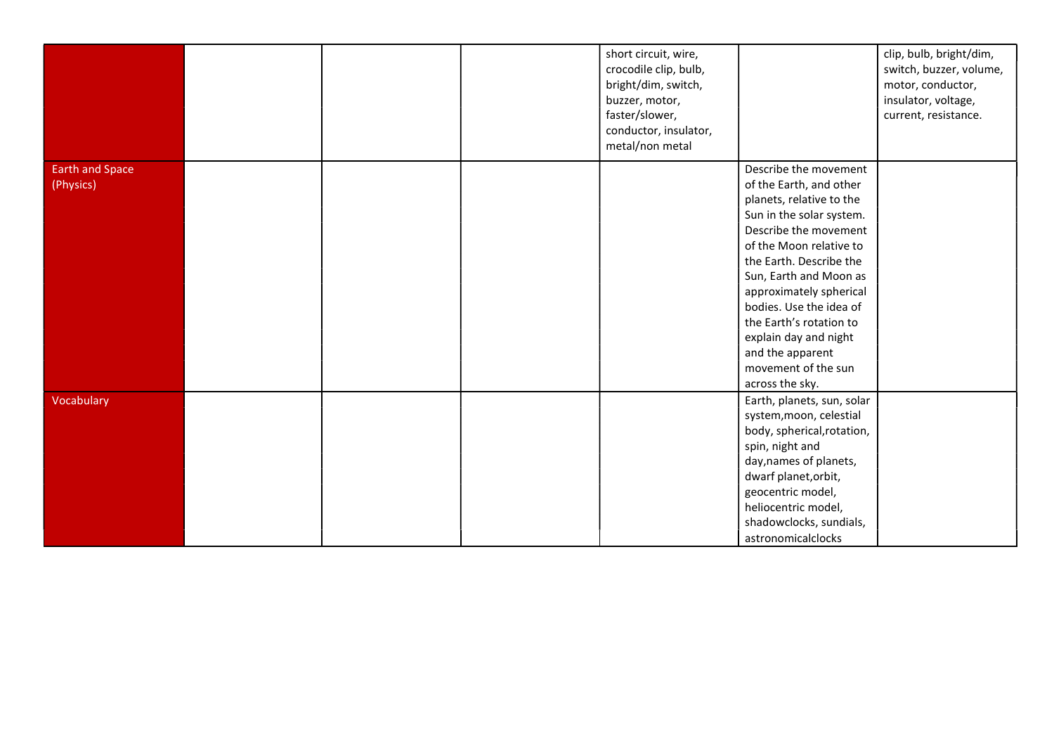|                                     |  | short circuit, wire,<br>crocodile clip, bulb,<br>bright/dim, switch,<br>buzzer, motor,<br>faster/slower,<br>conductor, insulator,<br>metal/non metal |                                                                                                                                                                                                                                                                                                                                                                                           | clip, bulb, bright/dim,<br>switch, buzzer, volume,<br>motor, conductor,<br>insulator, voltage,<br>current, resistance. |
|-------------------------------------|--|------------------------------------------------------------------------------------------------------------------------------------------------------|-------------------------------------------------------------------------------------------------------------------------------------------------------------------------------------------------------------------------------------------------------------------------------------------------------------------------------------------------------------------------------------------|------------------------------------------------------------------------------------------------------------------------|
| <b>Earth and Space</b><br>(Physics) |  |                                                                                                                                                      | Describe the movement<br>of the Earth, and other<br>planets, relative to the<br>Sun in the solar system.<br>Describe the movement<br>of the Moon relative to<br>the Earth. Describe the<br>Sun, Earth and Moon as<br>approximately spherical<br>bodies. Use the idea of<br>the Earth's rotation to<br>explain day and night<br>and the apparent<br>movement of the sun<br>across the sky. |                                                                                                                        |
| Vocabulary                          |  |                                                                                                                                                      | Earth, planets, sun, solar<br>system, moon, celestial<br>body, spherical, rotation,<br>spin, night and<br>day, names of planets,<br>dwarf planet, orbit,<br>geocentric model,<br>heliocentric model,<br>shadowclocks, sundials,<br>astronomicalclocks                                                                                                                                     |                                                                                                                        |